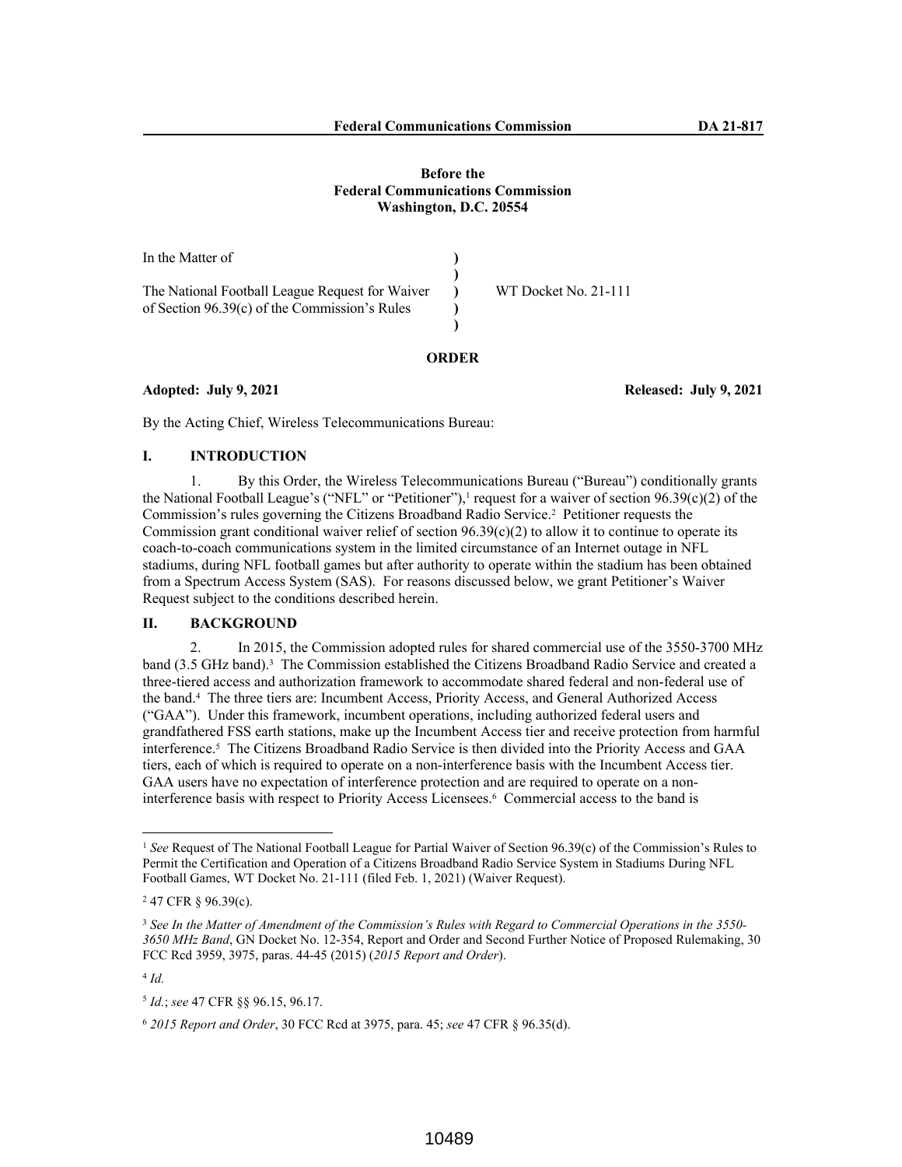In the Matter of The National Football League Request for Waiver of Section 96.39(c) of the Commission's Rules **) ) ) ) )** WT Docket No. 21-111

#### **ORDER**

### **Adopted: July 9, 2021 Released: July 9, 2021**

By the Acting Chief, Wireless Telecommunications Bureau:

## **I. INTRODUCTION**

1. By this Order, the Wireless Telecommunications Bureau ("Bureau") conditionally grants the National Football League's ("NFL" or "Petitioner"),<sup>1</sup> request for a waiver of section  $96.39(c)(2)$  of the Commission's rules governing the Citizens Broadband Radio Service.<sup>2</sup> Petitioner requests the Commission grant conditional waiver relief of section 96.39(c)(2) to allow it to continue to operate its coach-to-coach communications system in the limited circumstance of an Internet outage in NFL stadiums, during NFL football games but after authority to operate within the stadium has been obtained from a Spectrum Access System (SAS). For reasons discussed below, we grant Petitioner's Waiver Request subject to the conditions described herein.

## **II. BACKGROUND**

2. In 2015, the Commission adopted rules for shared commercial use of the 3550-3700 MHz band (3.5 GHz band).<sup>3</sup> The Commission established the Citizens Broadband Radio Service and created a three-tiered access and authorization framework to accommodate shared federal and non-federal use of the band.<sup>4</sup> The three tiers are: Incumbent Access, Priority Access, and General Authorized Access ("GAA"). Under this framework, incumbent operations, including authorized federal users and grandfathered FSS earth stations, make up the Incumbent Access tier and receive protection from harmful interference.<sup>5</sup> The Citizens Broadband Radio Service is then divided into the Priority Access and GAA tiers, each of which is required to operate on a non-interference basis with the Incumbent Access tier. GAA users have no expectation of interference protection and are required to operate on a noninterference basis with respect to Priority Access Licensees.<sup>6</sup> Commercial access to the band is

<sup>1</sup> *See* Request of The National Football League for Partial Waiver of Section 96.39(c) of the Commission's Rules to Permit the Certification and Operation of a Citizens Broadband Radio Service System in Stadiums During NFL Football Games, WT Docket No. 21-111 (filed Feb. 1, 2021) (Waiver Request).

<sup>&</sup>lt;sup>2</sup> 47 CFR § 96.39(c).

<sup>3</sup> *See In the Matter of Amendment of the Commission's Rules with Regard to Commercial Operations in the 3550- 3650 MHz Band*, GN Docket No. 12-354, Report and Order and Second Further Notice of Proposed Rulemaking, 30 FCC Rcd 3959, 3975, paras. 44-45 (2015) (*2015 Report and Order*).

<sup>4</sup> *Id.*

<sup>5</sup> *Id.*; *see* 47 CFR §§ 96.15, 96.17.

<sup>6</sup> *2015 Report and Order*, 30 FCC Rcd at 3975, para. 45; *see* 47 CFR § 96.35(d).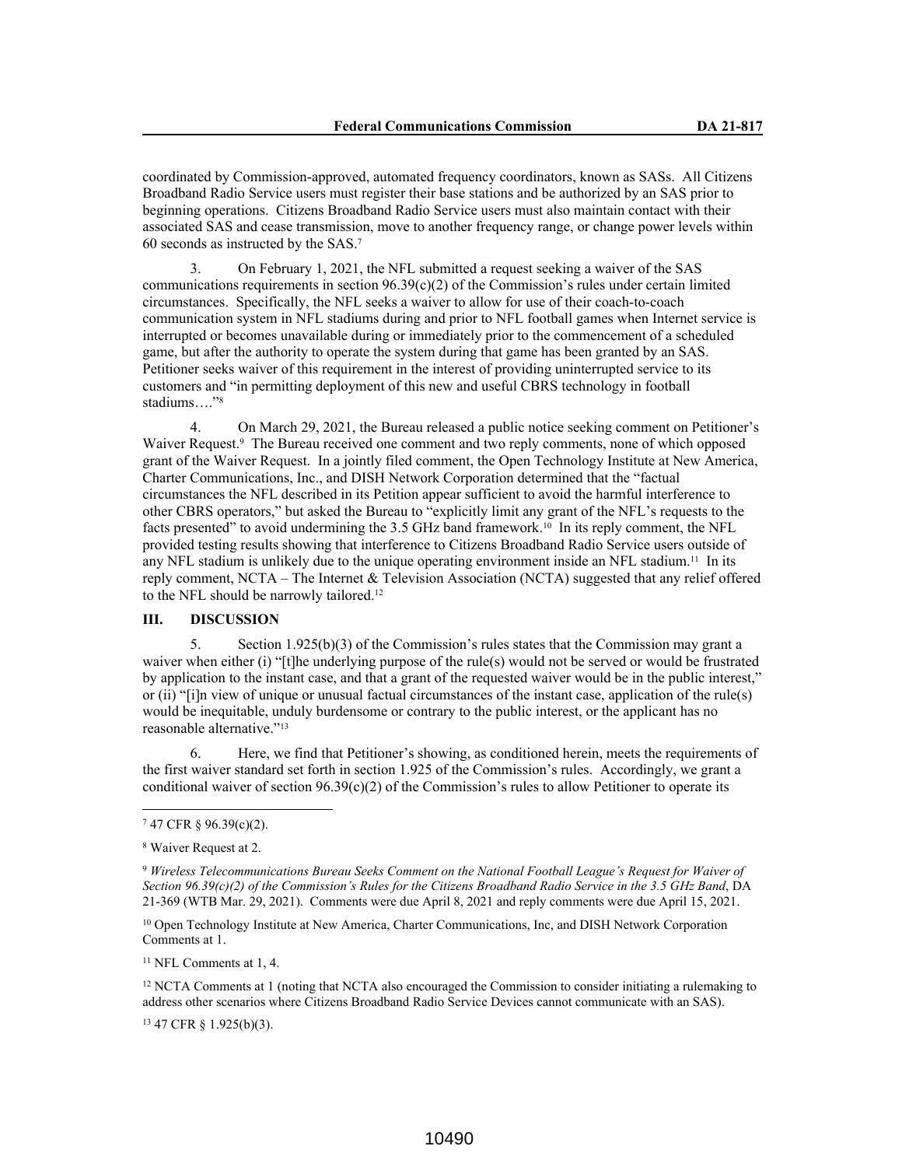coordinated by Commission-approved, automated frequency coordinators, known as SASs. All Citizens Broadband Radio Service users must register their base stations and be authorized by an SAS prior to beginning operations. Citizens Broadband Radio Service users must also maintain contact with their associated SAS and cease transmission, move to another frequency range, or change power levels within 60 seconds as instructed by the SAS.<sup>7</sup>

3. On February 1, 2021, the NFL submitted a request seeking a waiver of the SAS communications requirements in section  $96.39(c)(2)$  of the Commission's rules under certain limited circumstances. Specifically, the NFL seeks a waiver to allow for use of their coach-to-coach communication system in NFL stadiums during and prior to NFL football games when Internet service is interrupted or becomes unavailable during or immediately prior to the commencement of a scheduled game, but after the authority to operate the system during that game has been granted by an SAS. Petitioner seeks waiver of this requirement in the interest of providing uninterrupted service to its customers and "in permitting deployment of this new and useful CBRS technology in football stadiums...."<sup>8</sup>

4. On March 29, 2021, the Bureau released a public notice seeking comment on Petitioner's Waiver Request.<sup>9</sup> The Bureau received one comment and two reply comments, none of which opposed grant of the Waiver Request. In a jointly filed comment, the Open Technology Institute at New America, Charter Communications, Inc., and DISH Network Corporation determined that the "factual circumstances the NFL described in its Petition appear sufficient to avoid the harmful interference to other CBRS operators," but asked the Bureau to "explicitly limit any grant of the NFL's requests to the facts presented" to avoid undermining the 3.5 GHz band framework.10 In its reply comment, the NFL provided testing results showing that interference to Citizens Broadband Radio Service users outside of any NFL stadium is unlikely due to the unique operating environment inside an NFL stadium.11 In its reply comment, NCTA – The Internet & Television Association (NCTA) suggested that any relief offered to the NFL should be narrowly tailored.<sup>12</sup>

#### **III. DISCUSSION**

5. Section 1.925(b)(3) of the Commission's rules states that the Commission may grant a waiver when either (i) "[t]he underlying purpose of the rule(s) would not be served or would be frustrated by application to the instant case, and that a grant of the requested waiver would be in the public interest," or (ii) "[i]n view of unique or unusual factual circumstances of the instant case, application of the rule(s) would be inequitable, unduly burdensome or contrary to the public interest, or the applicant has no reasonable alternative."<sup>13</sup>

6. Here, we find that Petitioner's showing, as conditioned herein, meets the requirements of the first waiver standard set forth in section 1.925 of the Commission's rules. Accordingly, we grant a conditional waiver of section  $96.39(c)(2)$  of the Commission's rules to allow Petitioner to operate its

<sup>10</sup> Open Technology Institute at New America, Charter Communications, Inc, and DISH Network Corporation Comments at 1.

<sup>11</sup> NFL Comments at 1, 4.

<sup>12</sup> NCTA Comments at 1 (noting that NCTA also encouraged the Commission to consider initiating a rulemaking to address other scenarios where Citizens Broadband Radio Service Devices cannot communicate with an SAS).

<sup>13</sup> 47 CFR § 1.925(b)(3).

<sup>7</sup> 47 CFR § 96.39(c)(2).

<sup>8</sup> Waiver Request at 2.

<sup>9</sup> *Wireless Telecommunications Bureau Seeks Comment on the National Football League's Request for Waiver of Section 96.39(c)(2) of the Commission's Rules for the Citizens Broadband Radio Service in the 3.5 GHz Band*, DA 21-369 (WTB Mar. 29, 2021). Comments were due April 8, 2021 and reply comments were due April 15, 2021.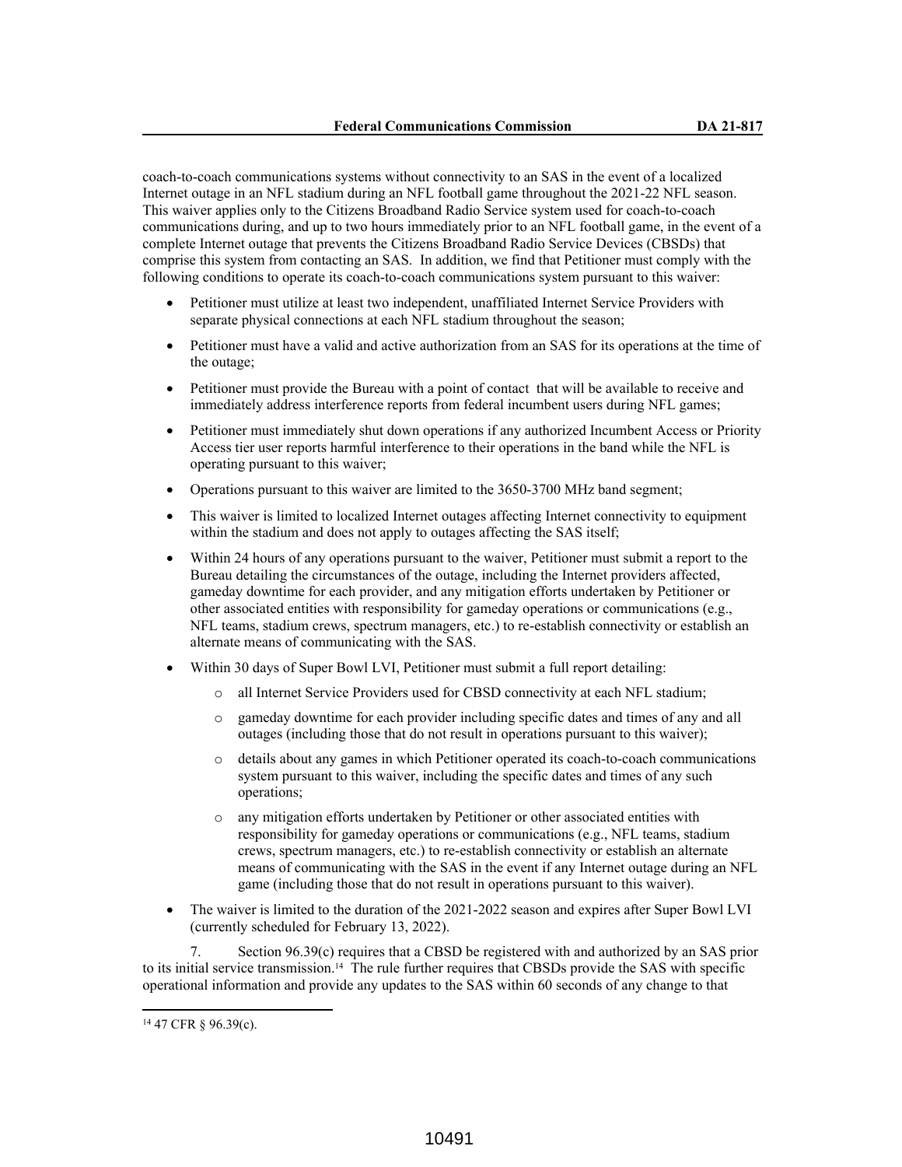coach-to-coach communications systems without connectivity to an SAS in the event of a localized Internet outage in an NFL stadium during an NFL football game throughout the 2021-22 NFL season. This waiver applies only to the Citizens Broadband Radio Service system used for coach-to-coach communications during, and up to two hours immediately prior to an NFL football game, in the event of a complete Internet outage that prevents the Citizens Broadband Radio Service Devices (CBSDs) that comprise this system from contacting an SAS. In addition, we find that Petitioner must comply with the following conditions to operate its coach-to-coach communications system pursuant to this waiver:

- Petitioner must utilize at least two independent, unaffiliated Internet Service Providers with separate physical connections at each NFL stadium throughout the season;
- Petitioner must have a valid and active authorization from an SAS for its operations at the time of the outage;
- Petitioner must provide the Bureau with a point of contact that will be available to receive and immediately address interference reports from federal incumbent users during NFL games;
- Petitioner must immediately shut down operations if any authorized Incumbent Access or Priority Access tier user reports harmful interference to their operations in the band while the NFL is operating pursuant to this waiver;
- Operations pursuant to this waiver are limited to the 3650-3700 MHz band segment;
- This waiver is limited to localized Internet outages affecting Internet connectivity to equipment within the stadium and does not apply to outages affecting the SAS itself;
- Within 24 hours of any operations pursuant to the waiver, Petitioner must submit a report to the Bureau detailing the circumstances of the outage, including the Internet providers affected, gameday downtime for each provider, and any mitigation efforts undertaken by Petitioner or other associated entities with responsibility for gameday operations or communications (e.g., NFL teams, stadium crews, spectrum managers, etc.) to re-establish connectivity or establish an alternate means of communicating with the SAS.
- Within 30 days of Super Bowl LVI, Petitioner must submit a full report detailing:
	- o all Internet Service Providers used for CBSD connectivity at each NFL stadium;
	- o gameday downtime for each provider including specific dates and times of any and all outages (including those that do not result in operations pursuant to this waiver);
	- o details about any games in which Petitioner operated its coach-to-coach communications system pursuant to this waiver, including the specific dates and times of any such operations;
	- o any mitigation efforts undertaken by Petitioner or other associated entities with responsibility for gameday operations or communications (e.g., NFL teams, stadium crews, spectrum managers, etc.) to re-establish connectivity or establish an alternate means of communicating with the SAS in the event if any Internet outage during an NFL game (including those that do not result in operations pursuant to this waiver).
- The waiver is limited to the duration of the 2021-2022 season and expires after Super Bowl LVI (currently scheduled for February 13, 2022).

7. Section 96.39(c) requires that a CBSD be registered with and authorized by an SAS prior to its initial service transmission.14 The rule further requires that CBSDs provide the SAS with specific operational information and provide any updates to the SAS within 60 seconds of any change to that

<sup>14</sup> 47 CFR § 96.39(c).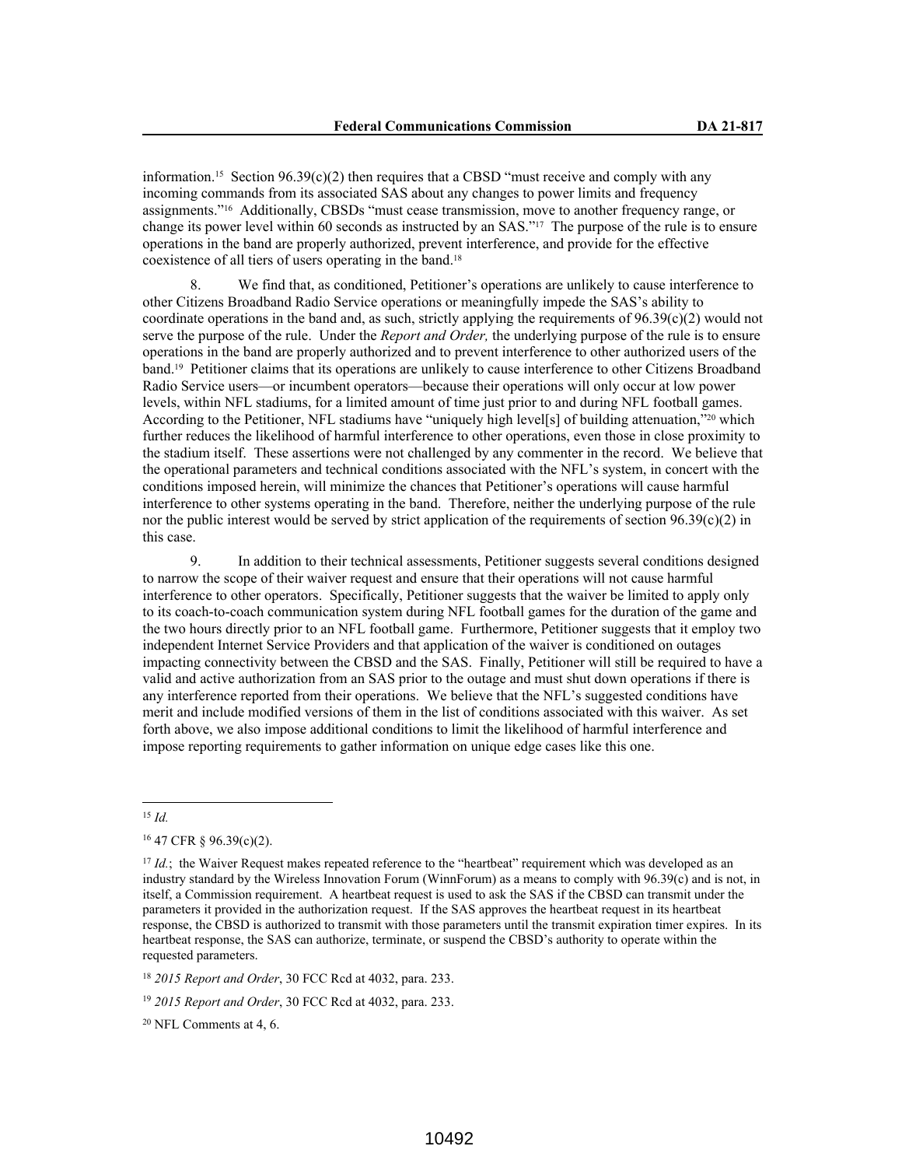information.15 Section 96.39(c)(2) then requires that a CBSD "must receive and comply with any incoming commands from its associated SAS about any changes to power limits and frequency assignments."16 Additionally, CBSDs "must cease transmission, move to another frequency range, or change its power level within 60 seconds as instructed by an SAS."17 The purpose of the rule is to ensure operations in the band are properly authorized, prevent interference, and provide for the effective coexistence of all tiers of users operating in the band.<sup>18</sup>

8. We find that, as conditioned, Petitioner's operations are unlikely to cause interference to other Citizens Broadband Radio Service operations or meaningfully impede the SAS's ability to coordinate operations in the band and, as such, strictly applying the requirements of  $96.39(c)(2)$  would not serve the purpose of the rule. Under the *Report and Order,* the underlying purpose of the rule is to ensure operations in the band are properly authorized and to prevent interference to other authorized users of the band.19 Petitioner claims that its operations are unlikely to cause interference to other Citizens Broadband Radio Service users—or incumbent operators—because their operations will only occur at low power levels, within NFL stadiums, for a limited amount of time just prior to and during NFL football games. According to the Petitioner, NFL stadiums have "uniquely high level[s] of building attenuation,"20 which further reduces the likelihood of harmful interference to other operations, even those in close proximity to the stadium itself. These assertions were not challenged by any commenter in the record. We believe that the operational parameters and technical conditions associated with the NFL's system, in concert with the conditions imposed herein, will minimize the chances that Petitioner's operations will cause harmful interference to other systems operating in the band. Therefore, neither the underlying purpose of the rule nor the public interest would be served by strict application of the requirements of section 96.39(c)(2) in this case.

9. In addition to their technical assessments, Petitioner suggests several conditions designed to narrow the scope of their waiver request and ensure that their operations will not cause harmful interference to other operators. Specifically, Petitioner suggests that the waiver be limited to apply only to its coach-to-coach communication system during NFL football games for the duration of the game and the two hours directly prior to an NFL football game. Furthermore, Petitioner suggests that it employ two independent Internet Service Providers and that application of the waiver is conditioned on outages impacting connectivity between the CBSD and the SAS. Finally, Petitioner will still be required to have a valid and active authorization from an SAS prior to the outage and must shut down operations if there is any interference reported from their operations. We believe that the NFL's suggested conditions have merit and include modified versions of them in the list of conditions associated with this waiver. As set forth above, we also impose additional conditions to limit the likelihood of harmful interference and impose reporting requirements to gather information on unique edge cases like this one.

<sup>15</sup> *Id.*

 $20$  NFL Comments at 4, 6.

<sup>16</sup> 47 CFR § 96.39(c)(2).

<sup>&</sup>lt;sup>17</sup> *Id.*; the Waiver Request makes repeated reference to the "heartbeat" requirement which was developed as an industry standard by the Wireless Innovation Forum (WinnForum) as a means to comply with 96.39(c) and is not, in itself, a Commission requirement. A heartbeat request is used to ask the SAS if the CBSD can transmit under the parameters it provided in the authorization request. If the SAS approves the heartbeat request in its heartbeat response, the CBSD is authorized to transmit with those parameters until the transmit expiration timer expires. In its heartbeat response, the SAS can authorize, terminate, or suspend the CBSD's authority to operate within the requested parameters.

<sup>18</sup> *2015 Report and Order*, 30 FCC Rcd at 4032, para. 233.

<sup>19</sup> *2015 Report and Order*, 30 FCC Rcd at 4032, para. 233.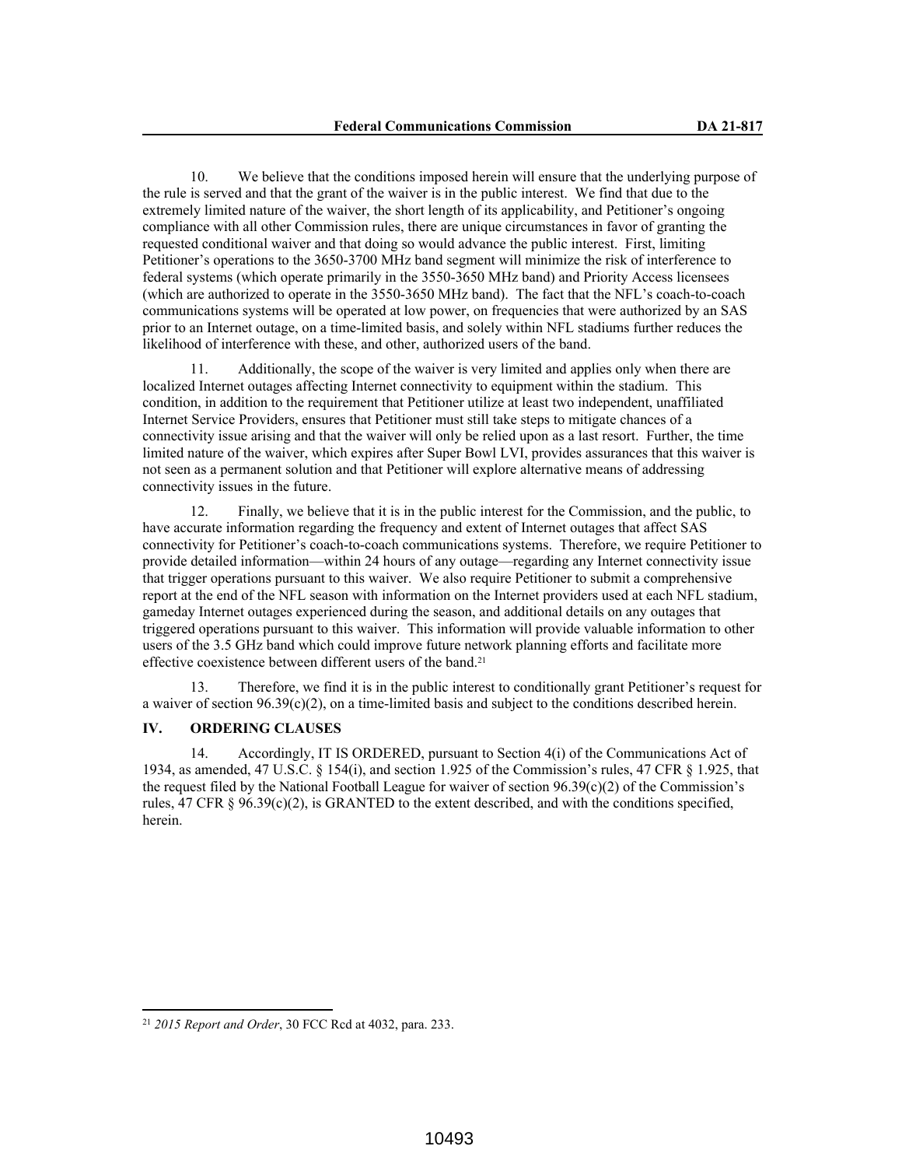10. We believe that the conditions imposed herein will ensure that the underlying purpose of the rule is served and that the grant of the waiver is in the public interest. We find that due to the extremely limited nature of the waiver, the short length of its applicability, and Petitioner's ongoing compliance with all other Commission rules, there are unique circumstances in favor of granting the requested conditional waiver and that doing so would advance the public interest. First, limiting Petitioner's operations to the 3650-3700 MHz band segment will minimize the risk of interference to federal systems (which operate primarily in the 3550-3650 MHz band) and Priority Access licensees (which are authorized to operate in the 3550-3650 MHz band). The fact that the NFL's coach-to-coach communications systems will be operated at low power, on frequencies that were authorized by an SAS prior to an Internet outage, on a time-limited basis, and solely within NFL stadiums further reduces the likelihood of interference with these, and other, authorized users of the band.

11. Additionally, the scope of the waiver is very limited and applies only when there are localized Internet outages affecting Internet connectivity to equipment within the stadium. This condition, in addition to the requirement that Petitioner utilize at least two independent, unaffiliated Internet Service Providers, ensures that Petitioner must still take steps to mitigate chances of a connectivity issue arising and that the waiver will only be relied upon as a last resort. Further, the time limited nature of the waiver, which expires after Super Bowl LVI, provides assurances that this waiver is not seen as a permanent solution and that Petitioner will explore alternative means of addressing connectivity issues in the future.

12. Finally, we believe that it is in the public interest for the Commission, and the public, to have accurate information regarding the frequency and extent of Internet outages that affect SAS connectivity for Petitioner's coach-to-coach communications systems. Therefore, we require Petitioner to provide detailed information—within 24 hours of any outage—regarding any Internet connectivity issue that trigger operations pursuant to this waiver. We also require Petitioner to submit a comprehensive report at the end of the NFL season with information on the Internet providers used at each NFL stadium, gameday Internet outages experienced during the season, and additional details on any outages that triggered operations pursuant to this waiver. This information will provide valuable information to other users of the 3.5 GHz band which could improve future network planning efforts and facilitate more effective coexistence between different users of the band.<sup>21</sup>

13. Therefore, we find it is in the public interest to conditionally grant Petitioner's request for a waiver of section  $96.39(c)(2)$ , on a time-limited basis and subject to the conditions described herein.

## **IV. ORDERING CLAUSES**

14. Accordingly, IT IS ORDERED, pursuant to Section 4(i) of the Communications Act of 1934, as amended, 47 U.S.C. § 154(i), and section 1.925 of the Commission's rules, 47 CFR § 1.925, that the request filed by the National Football League for waiver of section  $96.39(c)(2)$  of the Commission's rules, 47 CFR  $\S$  96.39(c)(2), is GRANTED to the extent described, and with the conditions specified, herein.

<sup>21</sup> *2015 Report and Order*, 30 FCC Rcd at 4032, para. 233.